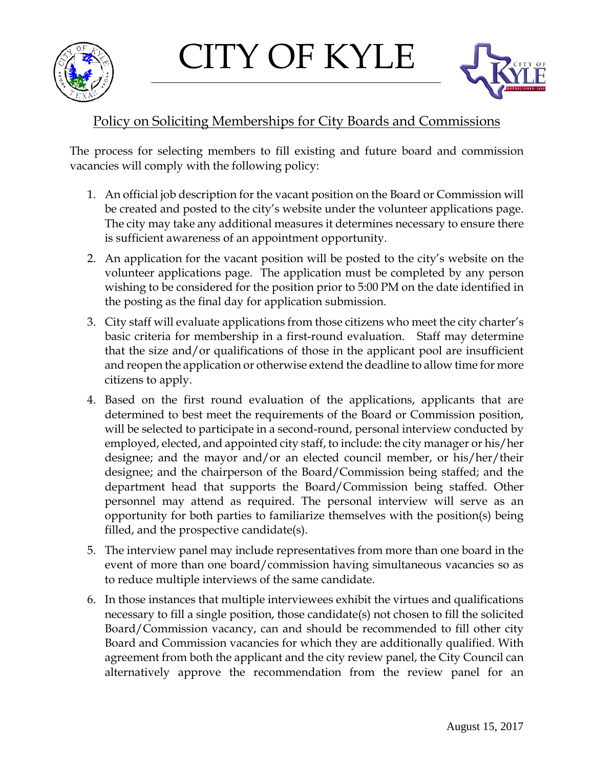





## Policy on Soliciting Memberships for City Boards and Commissions

The process for selecting members to fill existing and future board and commission vacancies will comply with the following policy:

- 1. An official job description for the vacant position on the Board or Commission will be created and posted to the city's website under the volunteer applications page. The city may take any additional measures it determines necessary to ensure there is sufficient awareness of an appointment opportunity.
- 2. An application for the vacant position will be posted to the city's website on the volunteer applications page. The application must be completed by any person wishing to be considered for the position prior to 5:00 PM on the date identified in the posting as the final day for application submission.
- 3. City staff will evaluate applications from those citizens who meet the city charter's basic criteria for membership in a first-round evaluation. Staff may determine that the size and/or qualifications of those in the applicant pool are insufficient and reopen the application or otherwise extend the deadline to allow time for more citizens to apply.
- 4. Based on the first round evaluation of the applications, applicants that are determined to best meet the requirements of the Board or Commission position, will be selected to participate in a second-round, personal interview conducted by employed, elected, and appointed city staff, to include: the city manager or his/her designee; and the mayor and/or an elected council member, or his/her/their designee; and the chairperson of the Board/Commission being staffed; and the department head that supports the Board/Commission being staffed. Other personnel may attend as required. The personal interview will serve as an opportunity for both parties to familiarize themselves with the position(s) being filled, and the prospective candidate(s).
- 5. The interview panel may include representatives from more than one board in the event of more than one board/commission having simultaneous vacancies so as to reduce multiple interviews of the same candidate.
- 6. In those instances that multiple interviewees exhibit the virtues and qualifications necessary to fill a single position, those candidate(s) not chosen to fill the solicited Board/Commission vacancy, can and should be recommended to fill other city Board and Commission vacancies for which they are additionally qualified. With agreement from both the applicant and the city review panel, the City Council can alternatively approve the recommendation from the review panel for an